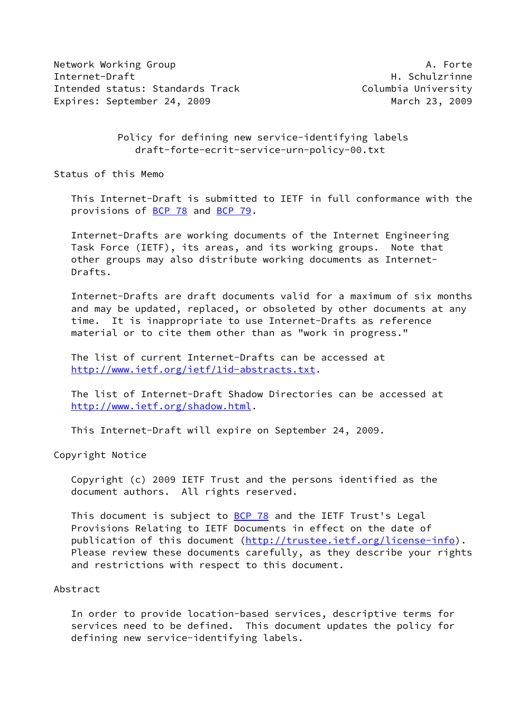Network Working Group **A. Forte** A. Forte Internet-Draft **H. Schulzrinne** Intended status: Standards Track Columbia University Expires: September 24, 2009 March 23, 2009

## Policy for defining new service-identifying labels draft-forte-ecrit-service-urn-policy-00.txt

Status of this Memo

 This Internet-Draft is submitted to IETF in full conformance with the provisions of [BCP 78](https://datatracker.ietf.org/doc/pdf/bcp78) and [BCP 79](https://datatracker.ietf.org/doc/pdf/bcp79).

 Internet-Drafts are working documents of the Internet Engineering Task Force (IETF), its areas, and its working groups. Note that other groups may also distribute working documents as Internet- Drafts.

 Internet-Drafts are draft documents valid for a maximum of six months and may be updated, replaced, or obsoleted by other documents at any time. It is inappropriate to use Internet-Drafts as reference material or to cite them other than as "work in progress."

 The list of current Internet-Drafts can be accessed at <http://www.ietf.org/ietf/1id-abstracts.txt>.

 The list of Internet-Draft Shadow Directories can be accessed at <http://www.ietf.org/shadow.html>.

This Internet-Draft will expire on September 24, 2009.

Copyright Notice

 Copyright (c) 2009 IETF Trust and the persons identified as the document authors. All rights reserved.

This document is subject to **[BCP 78](https://datatracker.ietf.org/doc/pdf/bcp78)** and the IETF Trust's Legal Provisions Relating to IETF Documents in effect on the date of publication of this document [\(http://trustee.ietf.org/license-info](http://trustee.ietf.org/license-info)). Please review these documents carefully, as they describe your rights and restrictions with respect to this document.

## Abstract

 In order to provide location-based services, descriptive terms for services need to be defined. This document updates the policy for defining new service-identifying labels.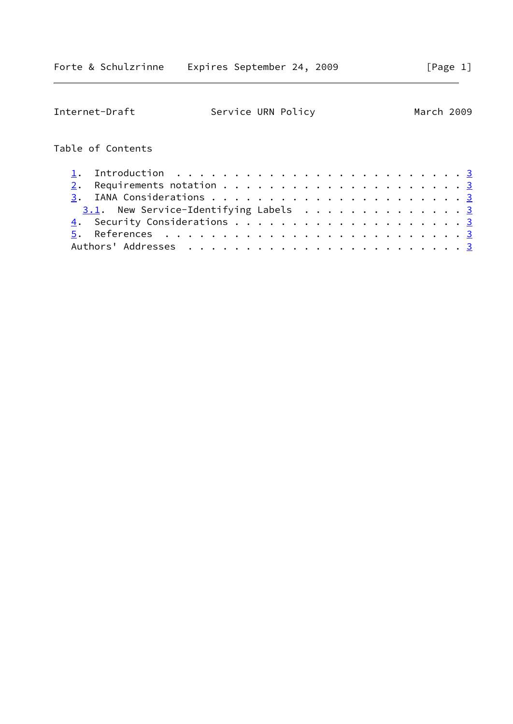| Internet-Draft                                                         | Service URN Policy |  |  |  |  |  |  | March 2009 |
|------------------------------------------------------------------------|--------------------|--|--|--|--|--|--|------------|
| Table of Contents                                                      |                    |  |  |  |  |  |  |            |
| Introduction $\ldots \ldots \ldots \ldots \ldots \ldots \ldots \ldots$ |                    |  |  |  |  |  |  |            |
| 2.                                                                     |                    |  |  |  |  |  |  |            |
|                                                                        |                    |  |  |  |  |  |  |            |
| $3.1$ . New Service-Identifying Labels 3                               |                    |  |  |  |  |  |  |            |
|                                                                        |                    |  |  |  |  |  |  |            |
|                                                                        |                    |  |  |  |  |  |  |            |
|                                                                        |                    |  |  |  |  |  |  |            |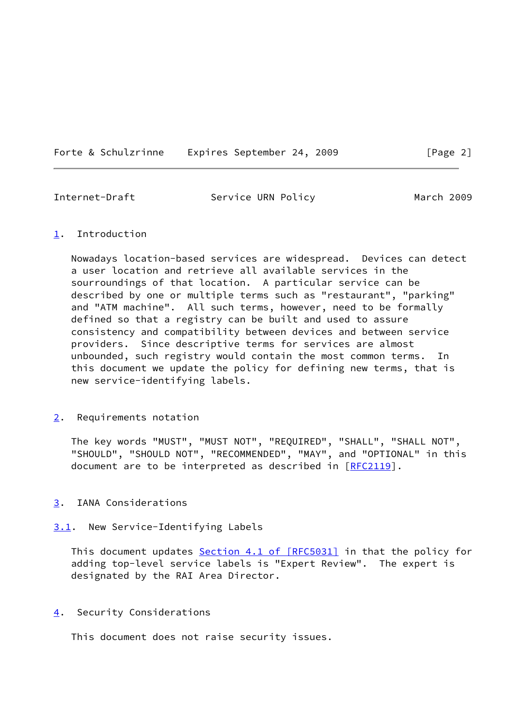Forte & Schulzrinne Expires September 24, 2009 [Page 2]

<span id="page-2-1"></span>Internet-Draft Service URN Policy March 2009

## <span id="page-2-0"></span>[1](#page-2-0). Introduction

 Nowadays location-based services are widespread. Devices can detect a user location and retrieve all available services in the sourroundings of that location. A particular service can be described by one or multiple terms such as "restaurant", "parking" and "ATM machine". All such terms, however, need to be formally defined so that a registry can be built and used to assure consistency and compatibility between devices and between service providers. Since descriptive terms for services are almost unbounded, such registry would contain the most common terms. In this document we update the policy for defining new terms, that is new service-identifying labels.

<span id="page-2-2"></span>[2](#page-2-2). Requirements notation

 The key words "MUST", "MUST NOT", "REQUIRED", "SHALL", "SHALL NOT", "SHOULD", "SHOULD NOT", "RECOMMENDED", "MAY", and "OPTIONAL" in this document are to be interpreted as described in [\[RFC2119](https://datatracker.ietf.org/doc/pdf/rfc2119)].

- <span id="page-2-3"></span>[3](#page-2-3). IANA Considerations
- <span id="page-2-4"></span>[3.1](#page-2-4). New Service-Identifying Labels

This document updates Section [4.1 of \[RFC5031\]](https://datatracker.ietf.org/doc/pdf/rfc5031#section-4.1) in that the policy for adding top-level service labels is "Expert Review". The expert is designated by the RAI Area Director.

<span id="page-2-5"></span>[4](#page-2-5). Security Considerations

This document does not raise security issues.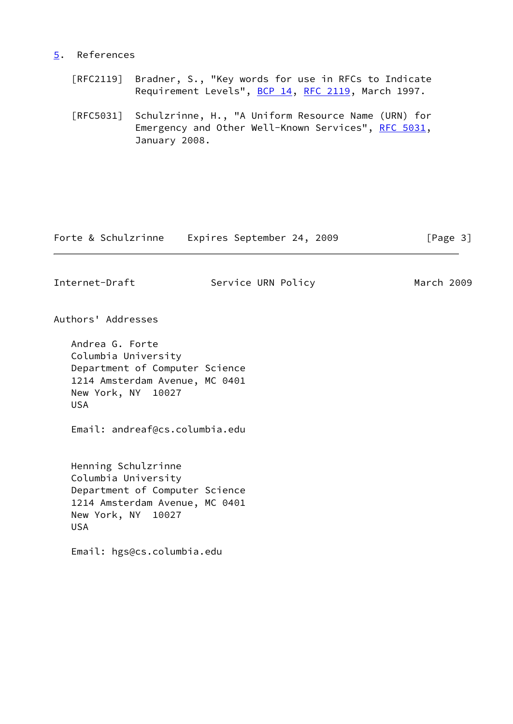## <span id="page-3-0"></span>[5](#page-3-0). References

- [RFC2119] Bradner, S., "Key words for use in RFCs to Indicate Requirement Levels", [BCP 14](https://datatracker.ietf.org/doc/pdf/bcp14), [RFC 2119](https://datatracker.ietf.org/doc/pdf/rfc2119), March 1997.
- [RFC5031] Schulzrinne, H., "A Uniform Resource Name (URN) for Emergency and Other Well-Known Services", [RFC 5031](https://datatracker.ietf.org/doc/pdf/rfc5031), January 2008.

| Forte & Schulzrinne | Expires September 24, 2009 |  | [Page 3] |  |
|---------------------|----------------------------|--|----------|--|
|                     |                            |  |          |  |

Internet-Draft Service URN Policy March 2009

Authors' Addresses

 Andrea G. Forte Columbia University Department of Computer Science 1214 Amsterdam Avenue, MC 0401 New York, NY 10027 USA

Email: andreaf@cs.columbia.edu

 Henning Schulzrinne Columbia University Department of Computer Science 1214 Amsterdam Avenue, MC 0401 New York, NY 10027 USA

Email: hgs@cs.columbia.edu